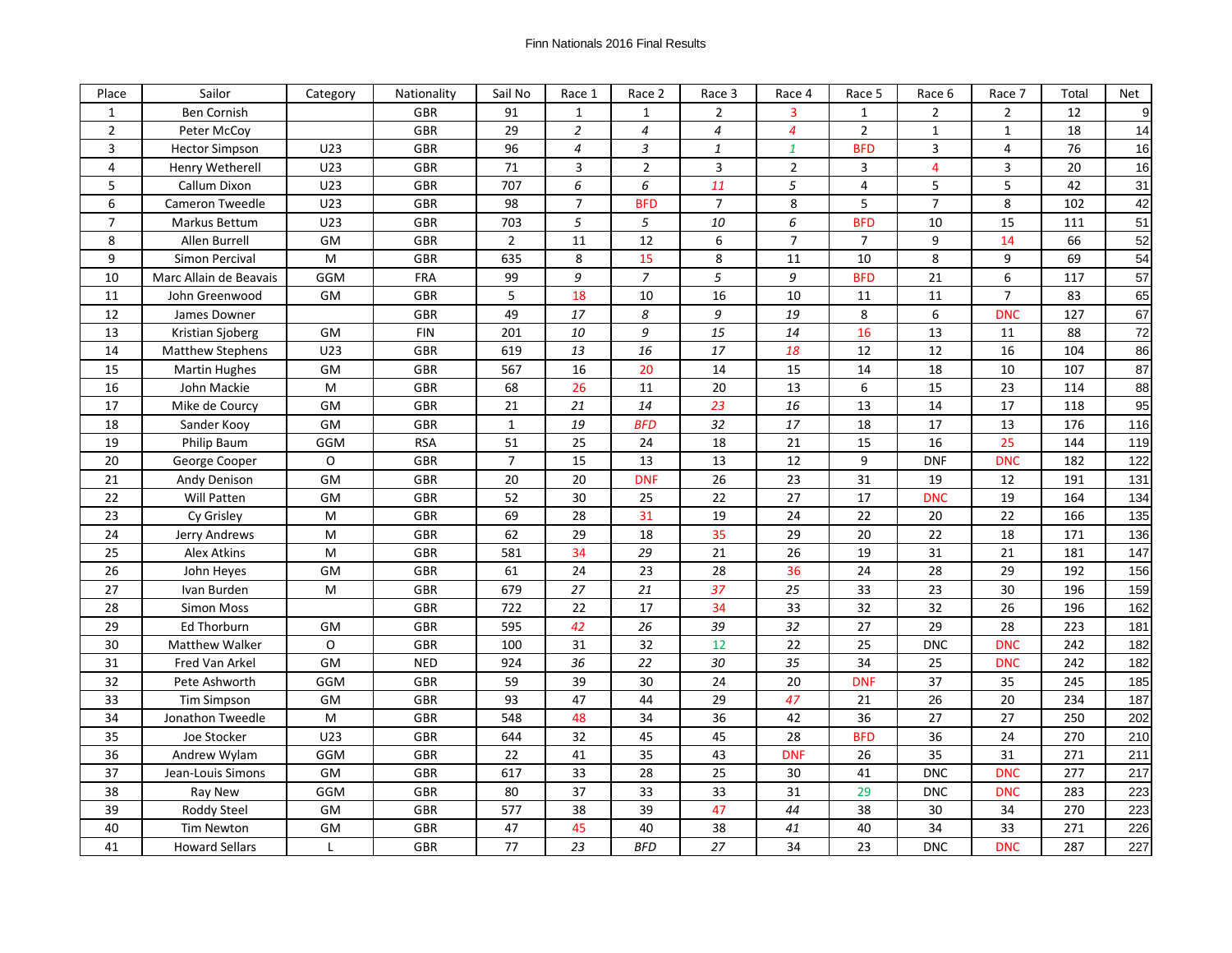| Place          | Sailor                  | Category  | Nationality | Sail No         | Race 1         | Race 2         | Race 3          | Race 4          | Race 5         | Race 6         | Race 7         | Total | Net |
|----------------|-------------------------|-----------|-------------|-----------------|----------------|----------------|-----------------|-----------------|----------------|----------------|----------------|-------|-----|
| $\mathbf{1}$   | Ben Cornish             |           | <b>GBR</b>  | 91              | $\mathbf{1}$   | $\mathbf{1}$   | $\overline{2}$  | $\overline{3}$  | $\mathbf{1}$   | $\overline{2}$ | $\overline{2}$ | 12    | 9   |
| $\overline{2}$ | Peter McCov             |           | GBR         | 29              | $\overline{2}$ | $\overline{4}$ | $\overline{4}$  | $\overline{4}$  | $\overline{2}$ | $\mathbf{1}$   | $\mathbf{1}$   | 18    | 14  |
| $\overline{3}$ | <b>Hector Simpson</b>   | U23       | GBR         | 96              | $\overline{4}$ | 3              | $\mathbf{1}$    | $\mathbf{1}$    | <b>BFD</b>     | 3              | $\overline{4}$ | 76    | 16  |
| $\overline{4}$ | <b>Henry Wetherell</b>  | U23       | GBR         | 71              | 3              | $\overline{2}$ | 3               | $\overline{2}$  | 3              | 4              | 3              | 20    | 16  |
| 5              | Callum Dixon            | U23       | <b>GBR</b>  | 707             | 6              | 6              | 11              | 5               | $\overline{4}$ | 5              | 5              | 42    | 31  |
| 6              | <b>Cameron Tweedle</b>  | U23       | GBR         | 98              | $\overline{7}$ | <b>BFD</b>     | $\overline{7}$  | 8               | 5              | $\overline{7}$ | 8              | 102   | 42  |
| $\overline{7}$ | Markus Bettum           | U23       | GBR         | 703             | 5              | 5              | 10              | 6               | <b>BFD</b>     | 10             | 15             | 111   | 51  |
| 8              | Allen Burrell           | GM        | <b>GBR</b>  | $\overline{2}$  | 11             | 12             | 6               | $\overline{7}$  | $\overline{7}$ | 9              | 14             | 66    | 52  |
| 9              | Simon Percival          | M         | GBR         | 635             | 8              | 15             | 8               | 11              | 10             | 8              | 9              | 69    | 54  |
| 10             | Marc Allain de Beavais  | GGM       | <b>FRA</b>  | 99              | $\overline{g}$ | $\overline{7}$ | $\overline{5}$  | 9               | <b>BFD</b>     | 21             | 6              | 117   | 57  |
| 11             | John Greenwood          | GM        | GBR         | 5               | 18             | 10             | 16              | 10              | 11             | 11             | $\overline{7}$ | 83    | 65  |
| 12             | James Downer            |           | GBR         | 49              | 17             | 8              | 9               | 19              | 8              | 6              | <b>DNC</b>     | 127   | 67  |
| 13             | Kristian Sjoberg        | GM        | <b>FIN</b>  | 201             | 10             | 9              | 15              | 14              | 16             | 13             | 11             | 88    | 72  |
| 14             | <b>Matthew Stephens</b> | U23       | GBR         | 619             | 13             | 16             | 17              | 18              | 12             | 12             | 16             | 104   | 86  |
| 15             | <b>Martin Hughes</b>    | <b>GM</b> | GBR         | 567             | 16             | 20             | 14              | 15              | 14             | 18             | 10             | 107   | 87  |
| 16             | John Mackie             | M         | GBR         | 68              | 26             | 11             | 20              | 13              | 6              | 15             | 23             | 114   | 88  |
| 17             | Mike de Courcy          | GM        | <b>GBR</b>  | 21              | 21             | 14             | 23              | 16              | 13             | 14             | 17             | 118   | 95  |
| 18             | Sander Kooy             | GM        | GBR         | $\mathbf{1}$    | 19             | <b>BFD</b>     | 32              | $\overline{17}$ | 18             | 17             | 13             | 176   | 116 |
| 19             | <b>Philip Baum</b>      | GGM       | <b>RSA</b>  | 51              | 25             | 24             | 18              | 21              | 15             | 16             | 25             | 144   | 119 |
| 20             | George Cooper           | O         | <b>GBR</b>  | $\overline{7}$  | 15             | 13             | 13              | 12              | 9              | <b>DNF</b>     | <b>DNC</b>     | 182   | 122 |
| 21             | Andy Denison            | GM        | <b>GBR</b>  | 20              | 20             | <b>DNF</b>     | 26              | 23              | 31             | 19             | 12             | 191   | 131 |
| 22             | Will Patten             | <b>GM</b> | <b>GBR</b>  | 52              | 30             | 25             | $\overline{22}$ | $\overline{27}$ | 17             | <b>DNC</b>     | 19             | 164   | 134 |
| 23             | Cy Grisley              | M         | <b>GBR</b>  | 69              | 28             | 31             | 19              | 24              | 22             | 20             | 22             | 166   | 135 |
| 24             | Jerry Andrews           | M         | GBR         | 62              | 29             | 18             | 35              | 29              | 20             | 22             | 18             | 171   | 136 |
| 25             | Alex Atkins             | M         | GBR         | 581             | 34             | 29             | 21              | 26              | 19             | 31             | 21             | 181   | 147 |
| 26             | John Heyes              | GM        | GBR         | 61              | 24             | 23             | 28              | 36              | 24             | 28             | 29             | 192   | 156 |
| 27             | Ivan Burden             | M         | <b>GBR</b>  | 679             | 27             | 21             | 37              | 25              | 33             | 23             | 30             | 196   | 159 |
| 28             | <b>Simon Moss</b>       |           | GBR         | 722             | 22             | 17             | 34              | 33              | 32             | 32             | 26             | 196   | 162 |
| 29             | Ed Thorburn             | GM        | <b>GBR</b>  | 595             | 42             | 26             | 39              | 32              | 27             | 29             | 28             | 223   | 181 |
| 30             | <b>Matthew Walker</b>   | O         | <b>GBR</b>  | 100             | 31             | 32             | 12              | 22              | 25             | <b>DNC</b>     | <b>DNC</b>     | 242   | 182 |
| 31             | Fred Van Arkel          | GM        | <b>NED</b>  | 924             | 36             | 22             | 30              | 35              | 34             | 25             | <b>DNC</b>     | 242   | 182 |
| 32             | Pete Ashworth           | GGM       | <b>GBR</b>  | 59              | 39             | 30             | 24              | 20              | <b>DNF</b>     | 37             | 35             | 245   | 185 |
| 33             | <b>Tim Simpson</b>      | GM        | <b>GBR</b>  | 93              | 47             | 44             | 29              | 47              | 21             | 26             | 20             | 234   | 187 |
| 34             | Jonathon Tweedle        | M         | <b>GBR</b>  | 548             | 48             | 34             | 36              | 42              | 36             | 27             | 27             | 250   | 202 |
| 35             | Joe Stocker             | U23       | GBR         | 644             | 32             | 45             | 45              | $\overline{28}$ | <b>BFD</b>     | 36             | 24             | 270   | 210 |
| 36             | Andrew Wylam            | GGM       | GBR         | 22              | 41             | 35             | 43              | <b>DNF</b>      | 26             | 35             | 31             | 271   | 211 |
| 37             | Jean-Louis Simons       | GM        | GBR         | 617             | 33             | 28             | 25              | 30              | 41             | <b>DNC</b>     | <b>DNC</b>     | 277   | 217 |
| 38             | <b>Ray New</b>          | GGM       | GBR         | 80              | 37             | 33             | 33              | 31              | 29             | <b>DNC</b>     | <b>DNC</b>     | 283   | 223 |
| 39             | Roddy Steel             | GM        | GBR         | 577             | 38             | 39             | 47              | 44              | 38             | 30             | 34             | 270   | 223 |
| 40             | <b>Tim Newton</b>       | GM        | GBR         | 47              | 45             | 40             | 38              | 41              | 40             | 34             | 33             | 271   | 226 |
| 41             | <b>Howard Sellars</b>   | L         | <b>GBR</b>  | $\overline{77}$ | 23             | <b>BFD</b>     | $\overline{27}$ | 34              | 23             | <b>DNC</b>     | <b>DNC</b>     | 287   | 227 |